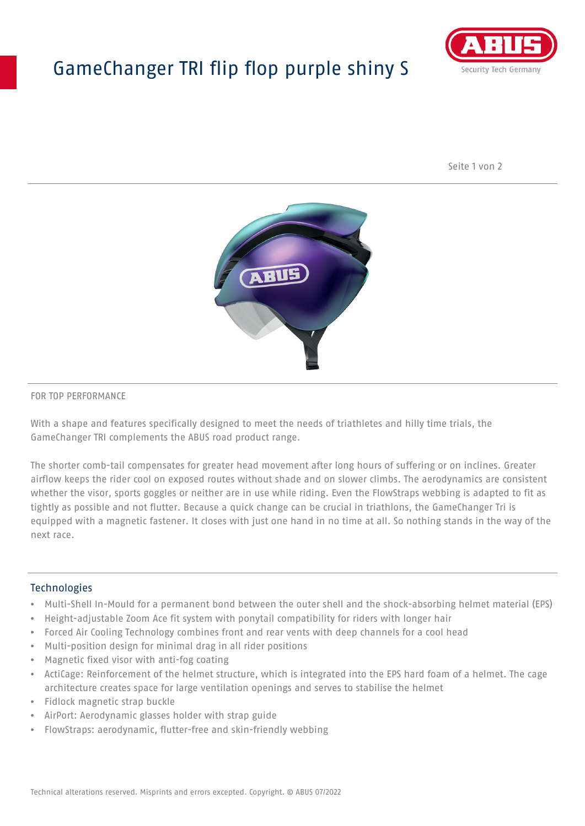## GameChanger TRI flip flop purple shiny S



Seite 1 von 2



#### FOR TOP PERFORMANCE

With a shape and features specifically designed to meet the needs of triathletes and hilly time trials, the GameChanger TRI complements the ABUS road product range.

The shorter comb-tail compensates for greater head movement after long hours of suffering or on inclines. Greater airflow keeps the rider cool on exposed routes without shade and on slower climbs. The aerodynamics are consistent whether the visor, sports goggles or neither are in use while riding. Even the FlowStraps webbing is adapted to fit as tightly as possible and not flutter. Because a quick change can be crucial in triathlons, the GameChanger Tri is equipped with a magnetic fastener. It closes with just one hand in no time at all. So nothing stands in the way of the next race.

#### **Technologies**

- Multi-Shell In-Mould for a permanent bond between the outer shell and the shock-absorbing helmet material (EPS)
- Height-adjustable Zoom Ace fit system with ponytail compatibility for riders with longer hair
- Forced Air Cooling Technology combines front and rear vents with deep channels for a cool head
- Multi-position design for minimal drag in all rider positions
- Magnetic fixed visor with anti-fog coating
- ActiCage: Reinforcement of the helmet structure, which is integrated into the EPS hard foam of a helmet. The cage architecture creates space for large ventilation openings and serves to stabilise the helmet
- Fidlock magnetic strap buckle
- AirPort: Aerodynamic glasses holder with strap guide
- FlowStraps: aerodynamic, flutter-free and skin-friendly webbing